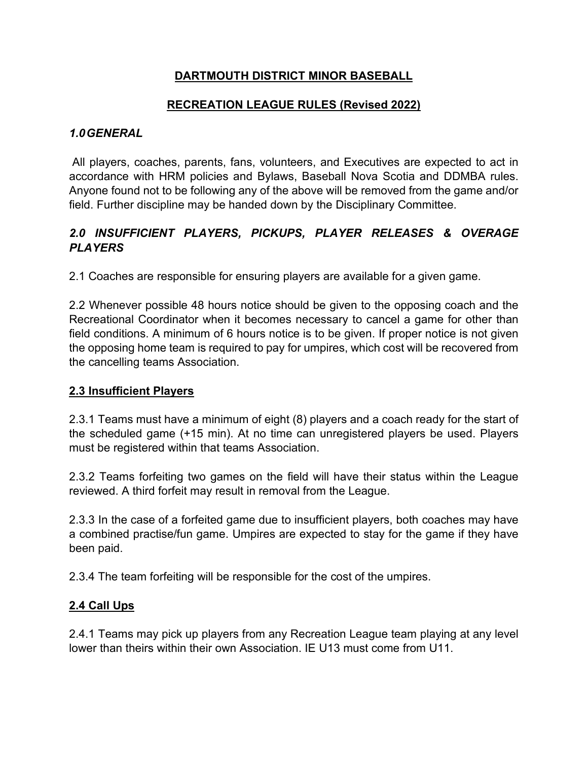## **DARTMOUTH DISTRICT MINOR BASEBALL**

### **RECREATION LEAGUE RULES (Revised 2022)**

#### *1.0GENERAL*

All players, coaches, parents, fans, volunteers, and Executives are expected to act in accordance with HRM policies and Bylaws, Baseball Nova Scotia and DDMBA rules. Anyone found not to be following any of the above will be removed from the game and/or field. Further discipline may be handed down by the Disciplinary Committee.

### *2.0 INSUFFICIENT PLAYERS, PICKUPS, PLAYER RELEASES & OVERAGE PLAYERS*

2.1 Coaches are responsible for ensuring players are available for a given game.

2.2 Whenever possible 48 hours notice should be given to the opposing coach and the Recreational Coordinator when it becomes necessary to cancel a game for other than field conditions. A minimum of 6 hours notice is to be given. If proper notice is not given the opposing home team is required to pay for umpires, which cost will be recovered from the cancelling teams Association.

#### **2.3 Insufficient Players**

2.3.1 Teams must have a minimum of eight (8) players and a coach ready for the start of the scheduled game (+15 min). At no time can unregistered players be used. Players must be registered within that teams Association.

2.3.2 Teams forfeiting two games on the field will have their status within the League reviewed. A third forfeit may result in removal from the League.

2.3.3 In the case of a forfeited game due to insufficient players, both coaches may have a combined practise/fun game. Umpires are expected to stay for the game if they have been paid.

2.3.4 The team forfeiting will be responsible for the cost of the umpires.

#### **2.4 Call Ups**

2.4.1 Teams may pick up players from any Recreation League team playing at any level lower than theirs within their own Association. IE U13 must come from U11.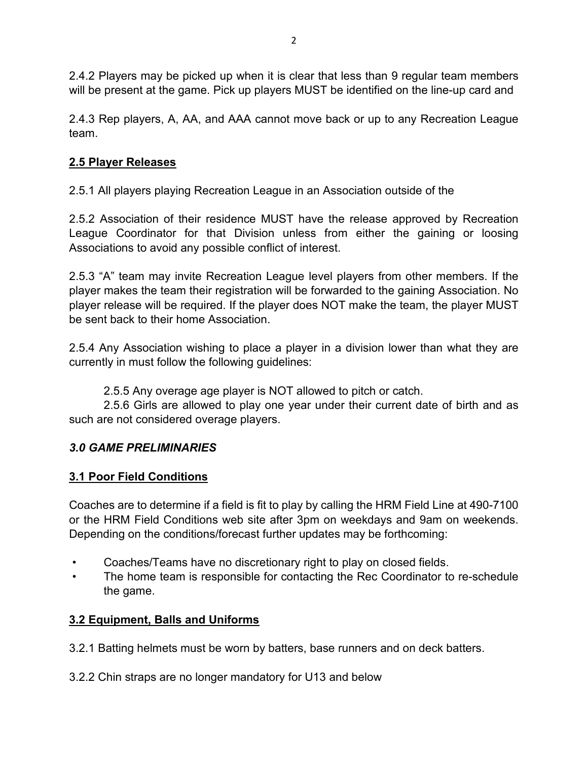2.4.2 Players may be picked up when it is clear that less than 9 regular team members will be present at the game. Pick up players MUST be identified on the line-up card and

2.4.3 Rep players, A, AA, and AAA cannot move back or up to any Recreation League team.

## **2.5 Player Releases**

2.5.1 All players playing Recreation League in an Association outside of the

2.5.2 Association of their residence MUST have the release approved by Recreation League Coordinator for that Division unless from either the gaining or loosing Associations to avoid any possible conflict of interest.

2.5.3 "A" team may invite Recreation League level players from other members. If the player makes the team their registration will be forwarded to the gaining Association. No player release will be required. If the player does NOT make the team, the player MUST be sent back to their home Association.

2.5.4 Any Association wishing to place a player in a division lower than what they are currently in must follow the following guidelines:

2.5.5 Any overage age player is NOT allowed to pitch or catch.

 2.5.6 Girls are allowed to play one year under their current date of birth and as such are not considered overage players.

## *3.0 GAME PRELIMINARIES*

## **3.1 Poor Field Conditions**

Coaches are to determine if a field is fit to play by calling the HRM Field Line at 490-7100 or the HRM Field Conditions web site after 3pm on weekdays and 9am on weekends. Depending on the conditions/forecast further updates may be forthcoming:

- Coaches/Teams have no discretionary right to play on closed fields.
- The home team is responsible for contacting the Rec Coordinator to re-schedule the game.

## **3.2 Equipment, Balls and Uniforms**

3.2.1 Batting helmets must be worn by batters, base runners and on deck batters.

3.2.2 Chin straps are no longer mandatory for U13 and below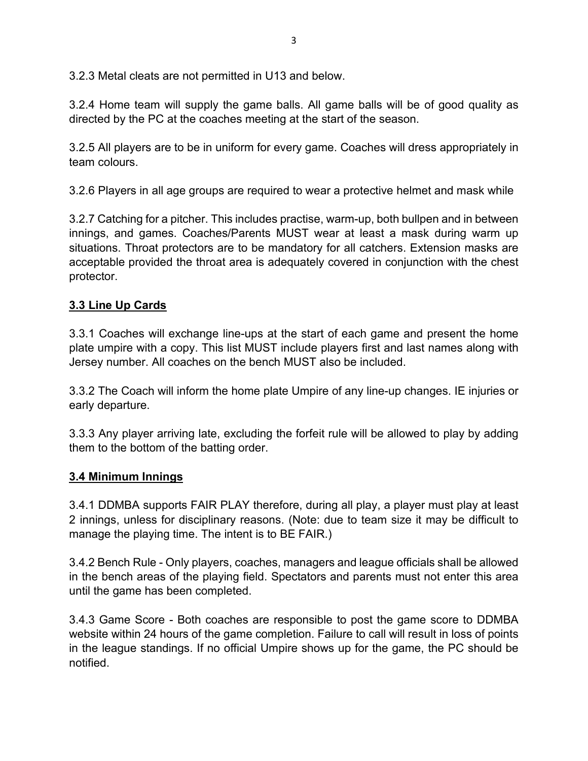3.2.3 Metal cleats are not permitted in U13 and below.

3.2.4 Home team will supply the game balls. All game balls will be of good quality as directed by the PC at the coaches meeting at the start of the season.

3.2.5 All players are to be in uniform for every game. Coaches will dress appropriately in team colours.

3.2.6 Players in all age groups are required to wear a protective helmet and mask while

3.2.7 Catching for a pitcher. This includes practise, warm-up, both bullpen and in between innings, and games. Coaches/Parents MUST wear at least a mask during warm up situations. Throat protectors are to be mandatory for all catchers. Extension masks are acceptable provided the throat area is adequately covered in conjunction with the chest protector.

## **3.3 Line Up Cards**

3.3.1 Coaches will exchange line-ups at the start of each game and present the home plate umpire with a copy. This list MUST include players first and last names along with Jersey number. All coaches on the bench MUST also be included.

3.3.2 The Coach will inform the home plate Umpire of any line-up changes. IE injuries or early departure.

3.3.3 Any player arriving late, excluding the forfeit rule will be allowed to play by adding them to the bottom of the batting order.

## **3.4 Minimum Innings**

3.4.1 DDMBA supports FAIR PLAY therefore, during all play, a player must play at least 2 innings, unless for disciplinary reasons. (Note: due to team size it may be difficult to manage the playing time. The intent is to BE FAIR.)

3.4.2 Bench Rule - Only players, coaches, managers and league officials shall be allowed in the bench areas of the playing field. Spectators and parents must not enter this area until the game has been completed.

3.4.3 Game Score - Both coaches are responsible to post the game score to DDMBA website within 24 hours of the game completion. Failure to call will result in loss of points in the league standings. If no official Umpire shows up for the game, the PC should be notified.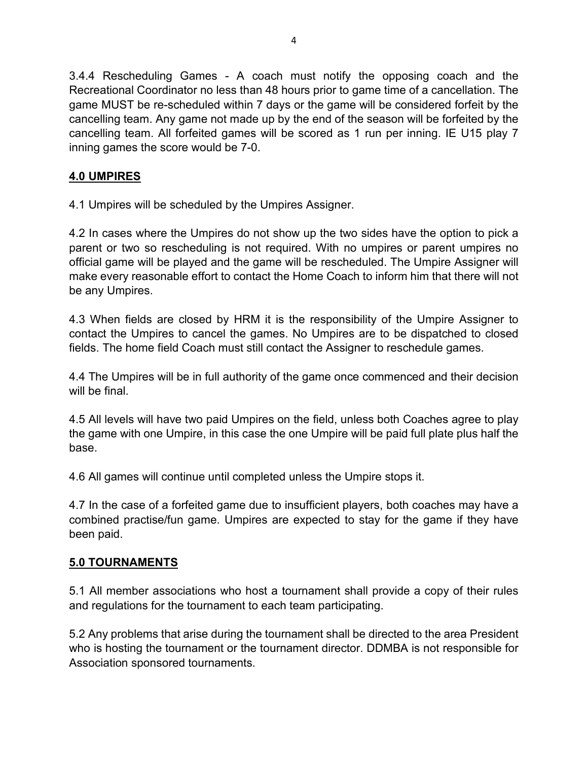3.4.4 Rescheduling Games - A coach must notify the opposing coach and the Recreational Coordinator no less than 48 hours prior to game time of a cancellation. The game MUST be re-scheduled within 7 days or the game will be considered forfeit by the cancelling team. Any game not made up by the end of the season will be forfeited by the cancelling team. All forfeited games will be scored as 1 run per inning. IE U15 play 7 inning games the score would be 7-0.

## **4.0 UMPIRES**

4.1 Umpires will be scheduled by the Umpires Assigner.

4.2 In cases where the Umpires do not show up the two sides have the option to pick a parent or two so rescheduling is not required. With no umpires or parent umpires no official game will be played and the game will be rescheduled. The Umpire Assigner will make every reasonable effort to contact the Home Coach to inform him that there will not be any Umpires.

4.3 When fields are closed by HRM it is the responsibility of the Umpire Assigner to contact the Umpires to cancel the games. No Umpires are to be dispatched to closed fields. The home field Coach must still contact the Assigner to reschedule games.

4.4 The Umpires will be in full authority of the game once commenced and their decision will be final.

4.5 All levels will have two paid Umpires on the field, unless both Coaches agree to play the game with one Umpire, in this case the one Umpire will be paid full plate plus half the base.

4.6 All games will continue until completed unless the Umpire stops it.

4.7 In the case of a forfeited game due to insufficient players, both coaches may have a combined practise/fun game. Umpires are expected to stay for the game if they have been paid.

#### **5.0 TOURNAMENTS**

5.1 All member associations who host a tournament shall provide a copy of their rules and regulations for the tournament to each team participating.

5.2 Any problems that arise during the tournament shall be directed to the area President who is hosting the tournament or the tournament director. DDMBA is not responsible for Association sponsored tournaments.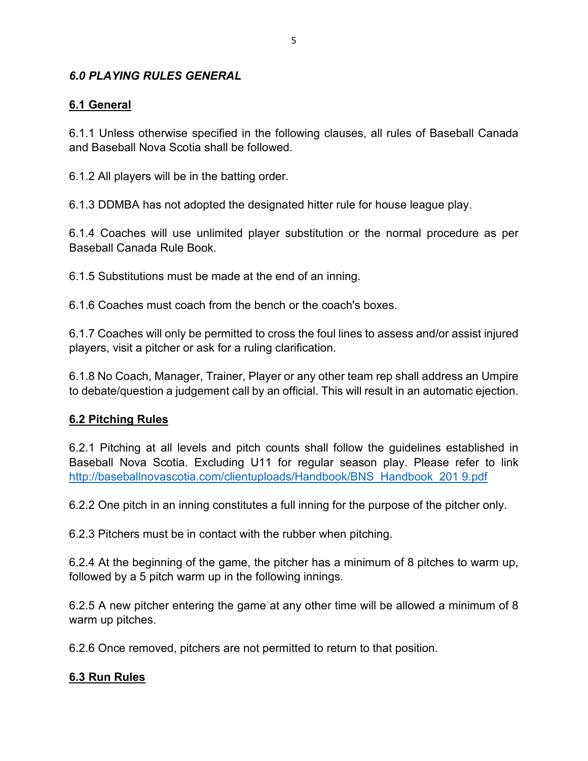#### *6.0 PLAYING RULES GENERAL*

#### **6.1 General**

6.1.1 Unless otherwise specified in the following clauses, all rules of Baseball Canada and Baseball Nova Scotia shall be followed.

6.1.2 All players will be in the batting order.

6.1.3 DDMBA has not adopted the designated hitter rule for house league play.

6.1.4 Coaches will use unlimited player substitution or the normal procedure as per Baseball Canada Rule Book.

6.1.5 Substitutions must be made at the end of an inning.

6.1.6 Coaches must coach from the bench or the coach's boxes.

6.1.7 Coaches will only be permitted to cross the foul lines to assess and/or assist injured players, visit a pitcher or ask for a ruling clarification.

6.1.8 No Coach, Manager, Trainer, Player or any other team rep shall address an Umpire to debate/question a judgement call by an official. This will result in an automatic ejection.

#### **6.2 Pitching Rules**

6.2.1 Pitching at all levels and pitch counts shall follow the guidelines established in Baseball Nova Scotia. Excluding U11 for regular season play. Please refer to link [http://baseballnovascotia.com/clientuploads/Handbook/BNS\\_Handbook\\_201 9.pdf](http://baseballnovascotia.com/clientuploads/Handbook/BNS_Handbook_201%209.pdf) 

6.2.2 One pitch in an inning constitutes a full inning for the purpose of the pitcher only.

6.2.3 Pitchers must be in contact with the rubber when pitching.

6.2.4 At the beginning of the game, the pitcher has a minimum of 8 pitches to warm up, followed by a 5 pitch warm up in the following innings.

6.2.5 A new pitcher entering the game at any other time will be allowed a minimum of 8 warm up pitches.

6.2.6 Once removed, pitchers are not permitted to return to that position.

#### **6.3 Run Rules**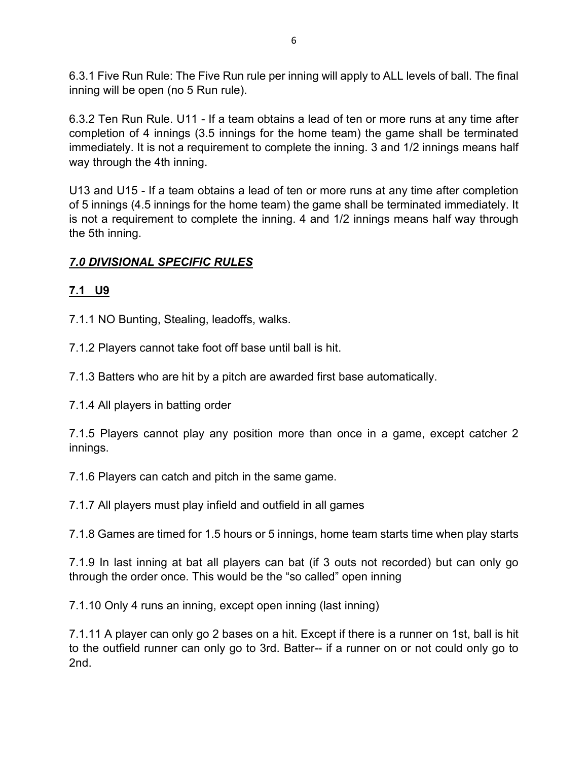6.3.1 Five Run Rule: The Five Run rule per inning will apply to ALL levels of ball. The final inning will be open (no 5 Run rule).

6.3.2 Ten Run Rule. U11 - If a team obtains a lead of ten or more runs at any time after completion of 4 innings (3.5 innings for the home team) the game shall be terminated immediately. It is not a requirement to complete the inning. 3 and 1/2 innings means half way through the 4th inning.

U13 and U15 - If a team obtains a lead of ten or more runs at any time after completion of 5 innings (4.5 innings for the home team) the game shall be terminated immediately. It is not a requirement to complete the inning. 4 and 1/2 innings means half way through the 5th inning.

## *7.0 DIVISIONAL SPECIFIC RULES*

## **7.1 U9**

7.1.1 NO Bunting, Stealing, leadoffs, walks.

7.1.2 Players cannot take foot off base until ball is hit.

7.1.3 Batters who are hit by a pitch are awarded first base automatically.

7.1.4 All players in batting order

7.1.5 Players cannot play any position more than once in a game, except catcher 2 innings.

7.1.6 Players can catch and pitch in the same game.

7.1.7 All players must play infield and outfield in all games

7.1.8 Games are timed for 1.5 hours or 5 innings, home team starts time when play starts

7.1.9 In last inning at bat all players can bat (if 3 outs not recorded) but can only go through the order once. This would be the "so called" open inning

7.1.10 Only 4 runs an inning, except open inning (last inning)

7.1.11 A player can only go 2 bases on a hit. Except if there is a runner on 1st, ball is hit to the outfield runner can only go to 3rd. Batter-- if a runner on or not could only go to 2nd.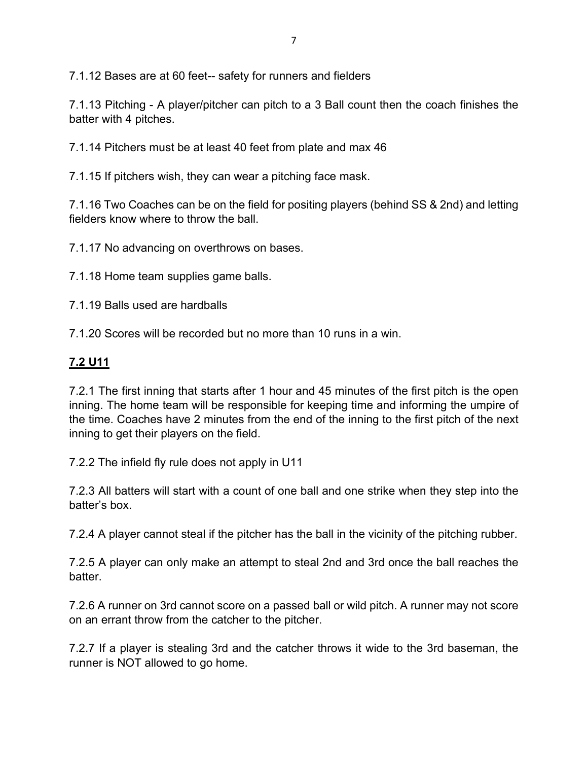7.1.12 Bases are at 60 feet-- safety for runners and fielders

7.1.13 Pitching - A player/pitcher can pitch to a 3 Ball count then the coach finishes the batter with 4 pitches.

7.1.14 Pitchers must be at least 40 feet from plate and max 46

7.1.15 If pitchers wish, they can wear a pitching face mask.

7.1.16 Two Coaches can be on the field for positing players (behind SS & 2nd) and letting fielders know where to throw the ball.

7.1.17 No advancing on overthrows on bases.

7.1.18 Home team supplies game balls.

7.1.19 Balls used are hardballs

7.1.20 Scores will be recorded but no more than 10 runs in a win.

#### **7.2 U11**

7.2.1 The first inning that starts after 1 hour and 45 minutes of the first pitch is the open inning. The home team will be responsible for keeping time and informing the umpire of the time. Coaches have 2 minutes from the end of the inning to the first pitch of the next inning to get their players on the field.

7.2.2 The infield fly rule does not apply in U11

7.2.3 All batters will start with a count of one ball and one strike when they step into the batter's box.

7.2.4 A player cannot steal if the pitcher has the ball in the vicinity of the pitching rubber.

7.2.5 A player can only make an attempt to steal 2nd and 3rd once the ball reaches the batter.

7.2.6 A runner on 3rd cannot score on a passed ball or wild pitch. A runner may not score on an errant throw from the catcher to the pitcher.

7.2.7 If a player is stealing 3rd and the catcher throws it wide to the 3rd baseman, the runner is NOT allowed to go home.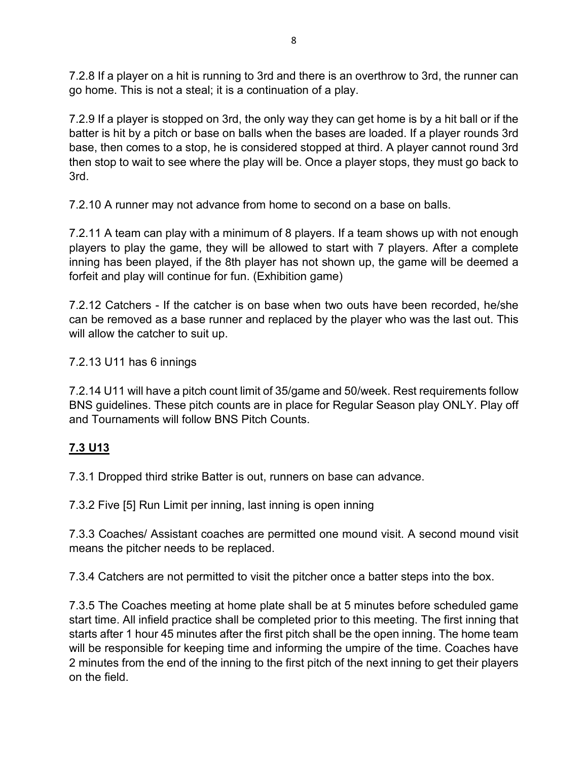7.2.8 If a player on a hit is running to 3rd and there is an overthrow to 3rd, the runner can go home. This is not a steal; it is a continuation of a play.

7.2.9 If a player is stopped on 3rd, the only way they can get home is by a hit ball or if the batter is hit by a pitch or base on balls when the bases are loaded. If a player rounds 3rd base, then comes to a stop, he is considered stopped at third. A player cannot round 3rd then stop to wait to see where the play will be. Once a player stops, they must go back to 3rd.

7.2.10 A runner may not advance from home to second on a base on balls.

7.2.11 A team can play with a minimum of 8 players. If a team shows up with not enough players to play the game, they will be allowed to start with 7 players. After a complete inning has been played, if the 8th player has not shown up, the game will be deemed a forfeit and play will continue for fun. (Exhibition game)

7.2.12 Catchers - If the catcher is on base when two outs have been recorded, he/she can be removed as a base runner and replaced by the player who was the last out. This will allow the catcher to suit up.

7.2.13 U11 has 6 innings

7.2.14 U11 will have a pitch count limit of 35/game and 50/week. Rest requirements follow BNS guidelines. These pitch counts are in place for Regular Season play ONLY. Play off and Tournaments will follow BNS Pitch Counts.

# **7.3 U13**

7.3.1 Dropped third strike Batter is out, runners on base can advance.

7.3.2 Five [5] Run Limit per inning, last inning is open inning

7.3.3 Coaches/ Assistant coaches are permitted one mound visit. A second mound visit means the pitcher needs to be replaced.

7.3.4 Catchers are not permitted to visit the pitcher once a batter steps into the box.

7.3.5 The Coaches meeting at home plate shall be at 5 minutes before scheduled game start time. All infield practice shall be completed prior to this meeting. The first inning that starts after 1 hour 45 minutes after the first pitch shall be the open inning. The home team will be responsible for keeping time and informing the umpire of the time. Coaches have 2 minutes from the end of the inning to the first pitch of the next inning to get their players on the field.